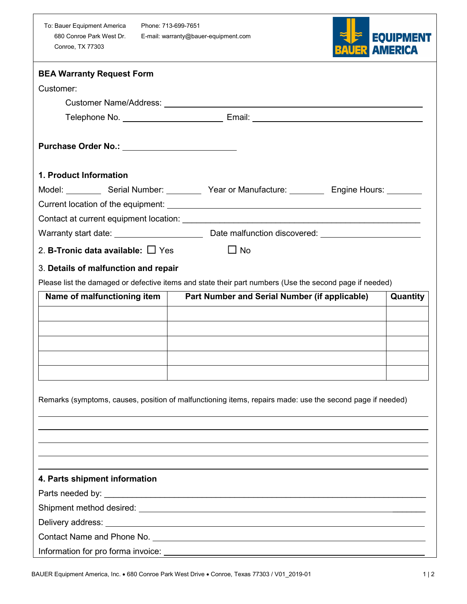| To: Bauer Equipment America |
|-----------------------------|
| 680 Conroe Park West Dr.    |
| <b>Conroe, TX 77303</b>     |

Phone: 713-699-7651 E-mail: warranty@bauer-equipment.com



| <b>BEA Warranty Request Form</b>              |                                                                                                           |          |
|-----------------------------------------------|-----------------------------------------------------------------------------------------------------------|----------|
| Customer:                                     |                                                                                                           |          |
|                                               |                                                                                                           |          |
|                                               |                                                                                                           |          |
|                                               |                                                                                                           |          |
| 1. Product Information                        |                                                                                                           |          |
|                                               | Model: Serial Number: Year or Manufacture: Engine Hours: Cambridge Contact Media                          |          |
|                                               |                                                                                                           |          |
|                                               |                                                                                                           |          |
|                                               |                                                                                                           |          |
| 2. <b>B-Tronic data available:</b> $\Box$ Yes | $\Box$ No                                                                                                 |          |
| 3. Details of malfunction and repair          |                                                                                                           |          |
|                                               | Please list the damaged or defective items and state their part numbers (Use the second page if needed)   |          |
| Name of malfunctioning item                   | Part Number and Serial Number (if applicable)                                                             | Quantity |
|                                               |                                                                                                           |          |
|                                               |                                                                                                           |          |
|                                               |                                                                                                           |          |
|                                               |                                                                                                           |          |
|                                               |                                                                                                           |          |
|                                               |                                                                                                           |          |
|                                               | Remarks (symptoms, causes, position of malfunctioning items, repairs made: use the second page if needed) |          |
|                                               |                                                                                                           |          |
|                                               |                                                                                                           |          |
|                                               |                                                                                                           |          |
|                                               |                                                                                                           |          |
| 4. Parts shipment information                 |                                                                                                           |          |
|                                               |                                                                                                           |          |
|                                               |                                                                                                           |          |
|                                               |                                                                                                           |          |
|                                               |                                                                                                           |          |
|                                               |                                                                                                           |          |